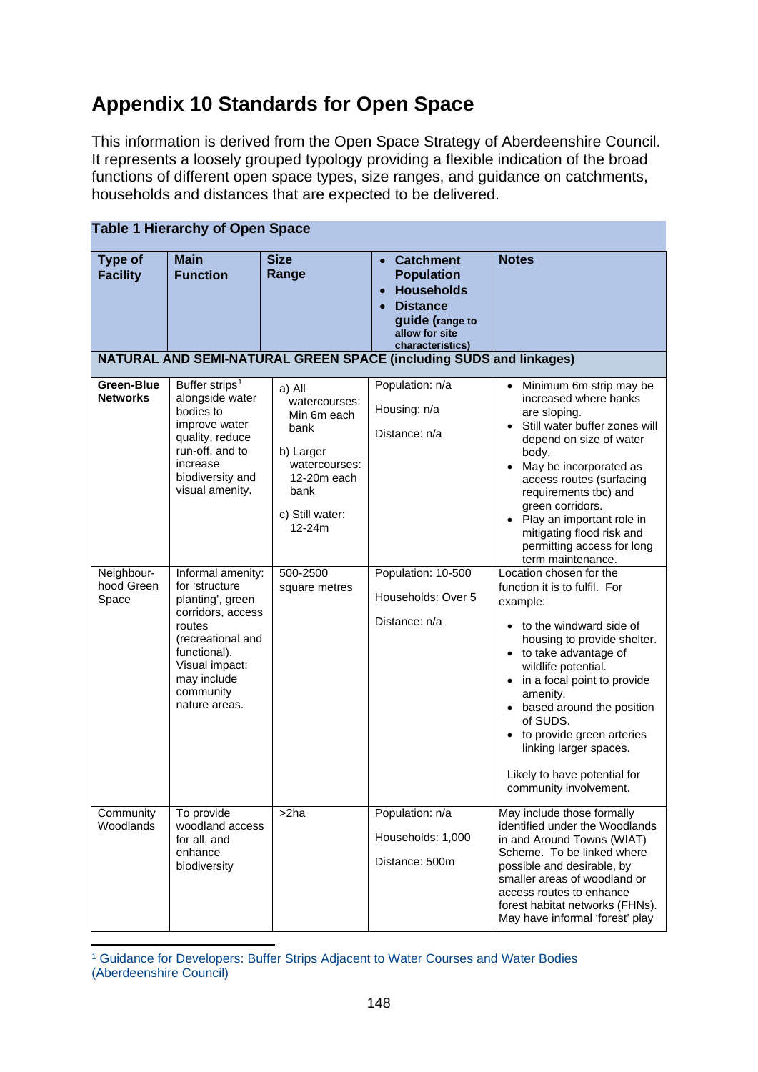## **Appendix 10 Standards for Open Space**

This information is derived from the Open Space Strategy of Aberdeenshire Council. It represents a loosely grouped typology providing a flexible indication of the broad functions of different open space types, size ranges, and guidance on catchments, households and distances that are expected to be delivered.

| <b>Table 1 Hierarchy of Open Space</b>                             |                                                                                                                                                                                            |                                                                                                                                      |                                                                                                                                                     |                                                                                                                                                                                                                                                                                                                                                                                                   |
|--------------------------------------------------------------------|--------------------------------------------------------------------------------------------------------------------------------------------------------------------------------------------|--------------------------------------------------------------------------------------------------------------------------------------|-----------------------------------------------------------------------------------------------------------------------------------------------------|---------------------------------------------------------------------------------------------------------------------------------------------------------------------------------------------------------------------------------------------------------------------------------------------------------------------------------------------------------------------------------------------------|
| <b>Type of</b><br><b>Facility</b>                                  | <b>Main</b><br><b>Function</b>                                                                                                                                                             | <b>Size</b><br>Range                                                                                                                 | <b>Catchment</b><br>$\bullet$<br><b>Population</b><br><b>Households</b><br><b>Distance</b><br>guide (range to<br>allow for site<br>characteristics) | <b>Notes</b>                                                                                                                                                                                                                                                                                                                                                                                      |
| NATURAL AND SEMI-NATURAL GREEN SPACE (including SUDS and linkages) |                                                                                                                                                                                            |                                                                                                                                      |                                                                                                                                                     |                                                                                                                                                                                                                                                                                                                                                                                                   |
| <b>Green-Blue</b><br><b>Networks</b>                               | Buffer strips <sup>1</sup><br>alongside water<br>bodies to<br>improve water<br>quality, reduce<br>run-off, and to<br>increase<br>biodiversity and<br>visual amenity.                       | a) All<br>watercourses:<br>Min 6m each<br>bank<br>b) Larger<br>watercourses:<br>12-20m each<br>bank<br>c) Still water:<br>$12 - 24m$ | Population: n/a<br>Housing: n/a<br>Distance: n/a                                                                                                    | • Minimum 6m strip may be<br>increased where banks<br>are sloping.<br>Still water buffer zones will<br>depend on size of water<br>body.<br>May be incorporated as<br>$\bullet$<br>access routes (surfacing<br>requirements tbc) and<br>green corridors.<br>• Play an important role in<br>mitigating flood risk and<br>permitting access for long<br>term maintenance.                            |
| Neighbour-<br>hood Green<br>Space                                  | Informal amenity:<br>for 'structure<br>planting', green<br>corridors, access<br>routes<br>(recreational and<br>functional).<br>Visual impact:<br>may include<br>community<br>nature areas. | 500-2500<br>square metres                                                                                                            | Population: 10-500<br>Households: Over 5<br>Distance: n/a                                                                                           | Location chosen for the<br>function it is to fulfil. For<br>example:<br>to the windward side of<br>housing to provide shelter.<br>• to take advantage of<br>wildlife potential.<br>in a focal point to provide<br>$\bullet$<br>amenity.<br>based around the position<br>of SUDS.<br>to provide green arteries<br>linking larger spaces.<br>Likely to have potential for<br>community involvement. |
| Community<br>Woodlands                                             | To provide<br>woodland access<br>for all, and<br>enhance<br>biodiversity                                                                                                                   | >2ha                                                                                                                                 | Population: n/a<br>Households: 1,000<br>Distance: 500m                                                                                              | May include those formally<br>identified under the Woodlands<br>in and Around Towns (WIAT)<br>Scheme. To be linked where<br>possible and desirable, by<br>smaller areas of woodland or<br>access routes to enhance<br>forest habitat networks (FHNs).<br>May have informal 'forest' play                                                                                                          |

<span id="page-1-0"></span><sup>1</sup> Guidance for Developers: Buffer Strips Adjacent to Water Courses and Water Bodies (Aberdeenshire Council)